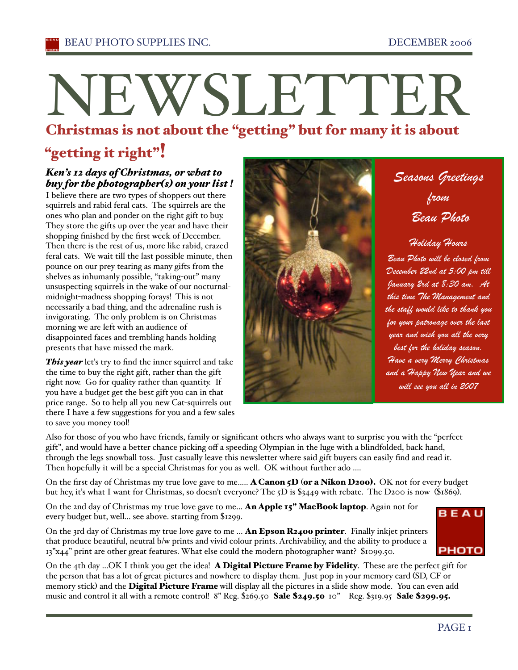# NEWSLETTER

# Christmas is not about the "getting " but for many it is about

# "getting it right"!

## *Ken's 12 days of Christmas, or what to buy for the photographer(s) on your list !*

I believe there are two types of shoppers out there squirrels and rabid feral cats. The squirrels are the ones who plan and ponder on the right gift to buy. They store the gifts up over the year and have their shopping finished by the first week of December. Then there is the rest of us, more like rabid, crazed feral cats. We wait till the last possible minute, then pounce on our prey tearing as many gifts from the shelves as inhumanly possible, "taking-out" many unsuspecting squirrels in the wake of our nocturnalmidnight-madness shopping forays! This is not necessarily a bad thing, and the adrenaline rush is invigorating. The only problem is on Christmas morning we are left with an audience of disappointed faces and trembling hands holding presents that have missed the mark.

This year let's try to find the inner squirrel and take the time to buy the right gift, rather than the gift right now. Go for quality rather than quantity. If you have a budget get the best gift you can in that price range. So to help all you new Cat-squirrels out there I have a few suggestions for you and a few sales to save you money tool!



*Seasons Greetings from Beau Photo* 

# *Holiday Hours*

*Beau Photo will be closed from December 22nd at 5:00 pm till January 2rd at 8:30 am. At this time The Management and the staff would like to thank you for your patronage over the last year and wish you all the very best for the holiday season. Have a very Merry Christmas and a Happy New Year and we will see you all in 2007*

Also for those of you who have friends, family or significant others who always want to surprise you with the "perfect gift", and would have a better chance picking off a speeding Olympian in the luge with a blindfolded, back hand, through the legs snowball toss. Just casually leave this newsletter where said gift buyers can easily find and read it. Then hopefully it will be a special Christmas for you as well. OK without further ado ....

On the first day of Christmas my true love gave to me..... **A Canon 5D (or a Nikon D200).** OK not for every budget but hey, iťs what I want for Christmas, so doesn't everyone? The 5D is \$3449 with rebate. The D200 is now (\$1869).

On the 2nd day of Christmas my true love gave to me... An Apple 15" MacBook laptop. Again not for every budget but, well... see above. starting from \$1299.

On the 3rd day of Christmas my true love gave to me ... An Epson  $\mathbb{R}^2$ 400 printer. Finally inkjet printers that produce beautiful, neutral b/w prints and vivid colour prints. Archivability, and the ability to produce a 13"x44" print are other great features. What else could the modern photographer want? \$1099.50.

**BEAU PHOTO** 

On the 4th day ...OK I think you get the idea! A Digital Picture Frame by Fidelity. These are the perfect gift for the person that has a lot of great pictures and nowhere to display them. Just pop in your memory card (SD, CF or memory stick) and the Digital Picture Frame will display all the pictures in a slide show mode. You can even add music and control it all with a remote control! 8" Reg. \$269.50 Sale \$249.50 10" Reg. \$319.95 Sale \$299.95.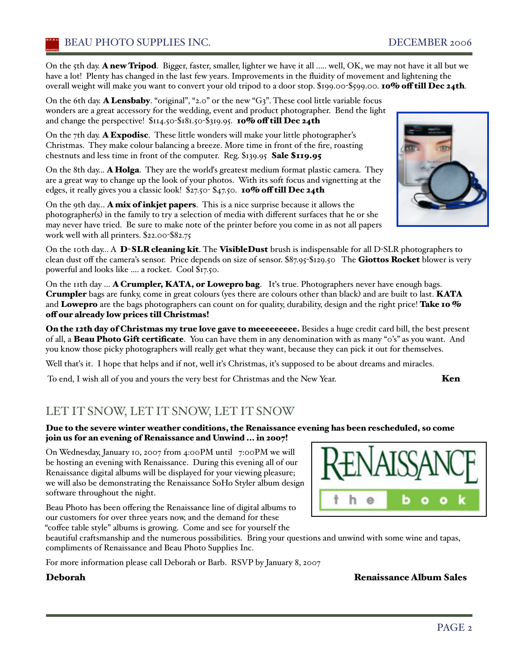On the 5th day. A new Tripod. Bigger, faster, smaller, lighter we have it all ..... well, OK, we may not have it all but we have a lot! Plenty has changed in the last few years. Improvements in the fluidity of movement and lightening the overall weight will make you want to convert your old tripod to a door stop. \$199.00-\$599.00. 10% off till Dec 24th.

On the 6th day. **A Lensbaby**. "original", "2.0" or the new "G3". These cool little variable focus wonders are a great accessory for the wedding, event and product photographer. Bend the light and change the perspective! \$114.50-\$181.50-\$319.95. 10% off till Dec 24th

On the 7th day. A Expodisc. These little wonders will make your little photographer's Christmas. They make colour balancing a breeze. More time in front of the fire, roasting chestnuts and less time in front of the computer. Reg. \$139.95 Sale \$119.95

On the 8th day... A Holga. They are the worlďs greatest medium format plastic camera. They are a great way to change up the look of your photos. With its soft focus and vignetting at the edges, it really gives you a classic look! \$27.50-\$47.50. 10% off till Dec 24th

On the 9th day... **A mix of inkjet papers**. This is a nice surprise because it allows the photographer(s) in the family to try a selection of media with different surfaces that he or she may never have tried. Be sure to make note of the printer before you come in as not all papers work well with all printers. \$22.00-\$82.75

On the 10th day... A D-SLR cleaning kit. The VisibleDust brush is indispensable for all D-SLR photographers to clean dust off the camera's sensor. Price depends on size of sensor. \$87.95-\$129.50 The Giottos Rocket blower is very powerful and looks like .... a rocket. Cool \$17.50.

On the 11th day ... A Crumpler, KATA, or Lowepro bag. It's true. Photographers never have enough bags. Crumpler bags are funky, come in great colours (yes there are colours other than black) and are built to last. KATA and Lowepro are the bags photographers can count on for quality, durability, design and the right price! Take 10 % off our already low prices till Christmas!

On the 12th day of Christmas my true love gave to meeeeeeeee. Besides a huge credit card bill, the best present of all, a Beau Photo Gift certificate. You can have them in any denomination with as many "0's" as you want. And you know those picky photographers will really get what they want, because they can pick it out for themselves.

Well that's it. I hope that helps and if not, well it's Christmas, it's supposed to be about dreams and miracles.

To end, I wish all of you and yours the very best for Christmas and the New Year. Ken

# LET IT SNOW, LET IT SNOW, LET IT SNOW

#### Due to the severe winter weather conditions, the Renaissance evening has been rescheduled, so come join us for an evening of Renaissance and Unwind ... in 2007!

On Wednesday, January 10, 2007 from 4:00PM until 7:00PM we will be hosting an evening with Renaissance. During this evening all of our Renaissance digital albums will be displayed for your viewing pleasure; we will also be demonstrating the Renaissance SoHo Styler album design software throughout the night.

Beau Photo has been offering the Renaissance line of digital albums to our customers for over three years now, and the demand for these "coffee table style" albums is growing. Come and see for yourself the

beautiful craftsmanship and the numerous possibilities. Bring your questions and unwind with some wine and tapas, compliments of Renaissance and Beau Photo Supplies Inc.

For more information please call Deborah or Barb. RSVP by January 8, 2007

Deborah Renaissance Album Sales



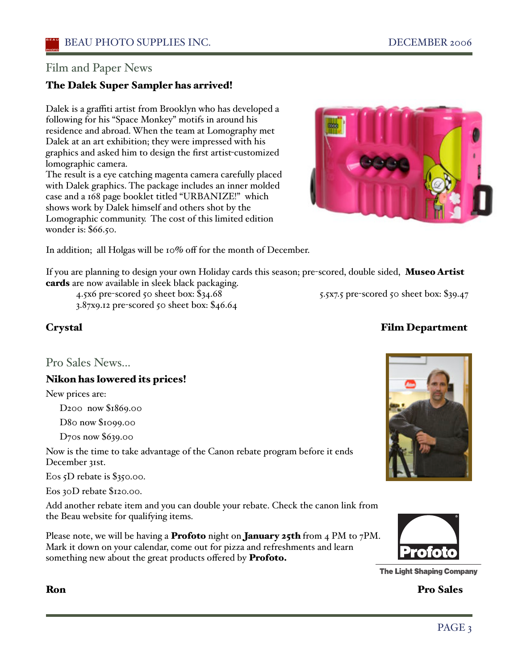## Film and Paper News

#### The Dalek Super Sampler has arrived!

Dalek is a graffiti artist from Brooklyn who has developed a following for his "Space Monkey" motifs in around his residence and abroad. When the team at Lomography met Dalek at an art exhibition; they were impressed with his graphics and asked him to design the first artist-customized lomographic camera.

The result is a eye catching magenta camera carefully placed with Dalek graphics. The package includes an inner molded case and a 168 page booklet titled "URBANIZE!" which shows work by Dalek himself and others shot by the Lomographic community. The cost of this limited edition wonder is: \$66.50.

3.87x9.12 pre-scored 50 sheet box: \$46.64



In addition; all Holgas will be 10% off for the month of December.

If you are planning to design your own Holiday cards this season; pre-scored, double sided, Museo Artist cards are now available in sleek black packaging.

4.5x6 pre-scored 50 sheet box: \$34.68 5.5x7.5 pre-scored 50 sheet box: \$39.47

Pro Sales News...

#### Nikon has lowered its prices!

New prices are:

D200 now \$1869.00

D80 now \$1099.00

D70s now \$639.00

Now is the time to take advantage of the Canon rebate program before it ends December 31st.

Eos 5D rebate is \$350.00.

Eos 30D rebate \$120.00.

Add another rebate item and you can double your rebate. Check the canon link from the Beau website for qualifying items.

Please note, we will be having a **Profoto** night on **January 25th** from 4 PM to 7PM. Mark it down on your calendar, come out for pizza and refreshments and learn something new about the great products offered by Profoto.





**The Light Shaping Company** 

Ron Pro Sales

## PAGE<sub>3</sub>

#### Crystal Film Department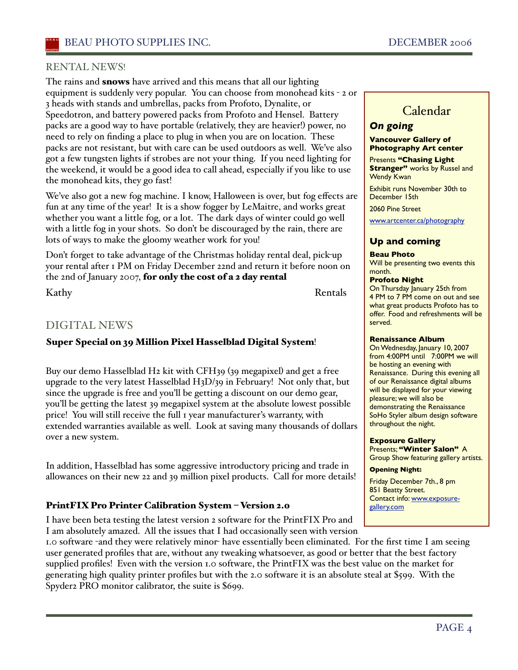#### RENTAL NEWS!

The rains and **snows** have arrived and this means that all our lighting equipment is suddenly very popular. You can choose from monohead kits - 2 or 3 heads with stands and umbrellas, packs from Profoto, Dynalite, or Speedotron, and battery powered packs from Profoto and Hensel. Battery packs are a good way to have portable (relatively, they are heavier!) power, no need to rely on finding a place to plug in when you are on location. These packs are not resistant, but with care can be used outdoors as well. We've also got a few tungsten lights if strobes are not your thing. If you need lighting for the weekend, it would be a good idea to call ahead, especially if you like to use the monohead kits, they go fast!

We've also got a new fog machine. I know, Halloween is over, but fog effects are fun at any time of the year! It is a show fogger by LeMaitre, and works great whether you want a little fog, or a lot. The dark days of winter could go well with a little fog in your shots. So don't be discouraged by the rain, there are lots of ways to make the gloomy weather work for you!

Don't forget to take advantage of the Christmas holiday rental deal, pick-up your rental after 1 PM on Friday December 22nd and return it before noon on the 2nd of January 2007, for only the cost of a 2 day rental

Kathy Rentals

## DIGITAL NEWS

#### Super Special on 39 Million Pixel Hasselblad Digital System!

Buy our demo Hasselblad H2 kit with CFH39 (39 megapixel) and get a free upgrade to the very latest Hasselblad H3D/39 in February! Not only that, but since the upgrade is free and you'll be getting a discount on our demo gear, you'll be getting the latest 39 megapixel system at the absolute lowest possible price! You will still receive the full 1 year manufacturer's warranty, with extended warranties available as well. Look at saving many thousands of dollars over a new system.

In addition, Hasselblad has some aggressive introductory pricing and trade in allowances on their new 22 and 39 million pixel products. Call for more details!

#### PrintFIX Pro Printer Calibration System – Version 2.0

I have been beta testing the latest version 2 software for the PrintFIX Pro and I am absolutely amazed. All the issues that I had occasionally seen with version

## Calendar

#### *On going* **Vancouver Gallery of**

# **Photography Art center**

Presents **"Chasing Light Stranger"** works by Russel and Wendy Kwan

Exhibit runs November 30th to December 15th

2060 Pine Street

www.artcenter.ca/photography

#### **Up and coming**

#### **Beau Photo**

Will be presenting two events this month.

#### **Profoto Night**

On Thursday January 25th from 4 PM to 7 PM come on out and see what great products Profoto has to offer. Food and refreshments will be served.

#### **Renaissance Album**

On Wednesday, January 10, 2007 from 4:00PM until 7:00PM we will be hosting an evening with Renaissance. During this evening all of our Renaissance digital albums will be displayed for your viewing pleasure; we will also be demonstrating the Renaissance SoHo Styler album design software throughout the night.

#### **Exposure Gallery**

Presents; **"Winter Salon"** A Group Show featuring gallery artists.

#### **Opening Night:**

Friday December 7th., 8 pm 851 Beatty Street. Contact info: www.exposuregallery.com

1.0 software -and they were relatively minor- have essentially been eliminated. For the first time I am seeing user generated profiles that are, without any tweaking whatsoever, as good or better that the best factory supplied profiles! Even with the version 1.0 software, the PrintFIX was the best value on the market for generating high quality printer profiles but with the 2.0 software it is an absolute steal at \$599. With the Spyder2 PRO monitor calibrator, the suite is \$699.